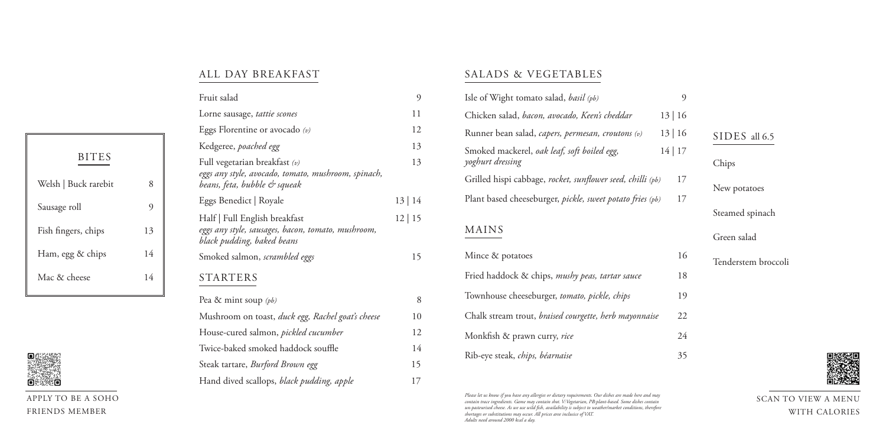|              |                | Fruit salad                                                                         | $\overline{9}$ | Isle of Wight tomato salad, basil (pb)                     | 9     |         |
|--------------|----------------|-------------------------------------------------------------------------------------|----------------|------------------------------------------------------------|-------|---------|
|              |                | Lorne sausage, tattie scones                                                        | 11             | Chicken salad, bacon, avocado, Keen's cheddar              | 13 16 |         |
|              |                | Eggs Florentine or avocado $(v)$                                                    | 12             | Runner bean salad, capers, permesan, croutons (v)          | 13 16 | SID:    |
|              |                | Kedgeree, poached egg                                                               | 13             | Smoked mackerel, oak leaf, soft boiled egg,                | 14 17 |         |
| <b>BITES</b> |                | Full vegetarian breakfast $(v)$                                                     | 13             | yoghurt dressing                                           |       | Chips   |
| ck rarebit   | 8              | eggs any style, avocado, tomato, mushroom, spinach,<br>beans, feta, bubble & squeak |                | Grilled hispi cabbage, rocket, sunflower seed, chilli (pb) | 17    | $New_1$ |
|              | $\overline{9}$ | Eggs Benedict   Royale                                                              | 13 14          | Plant based cheeseburger, pickle, sweet potato fries (pb)  | 17    |         |
|              |                | Half   Full English breakfast                                                       | 12 15          |                                                            |       | Steam   |
| s, chips     | 13             | eggs any style, sausages, bacon, tomato, mushroom,<br>black pudding, baked beans    |                | <b>MAINS</b>                                               |       | Green   |
| & chips      | 14             | Smoked salmon, scrambled eggs                                                       | 15             | Mince & potatoes                                           | 16    | Tende   |
| ese          | 14             | <b>STARTERS</b>                                                                     |                | Fried haddock & chips, mushy peas, tartar sauce            | 18    |         |
|              |                | Pea & mint soup $(pb)$                                                              | 8              | Townhouse cheeseburger, tomato, pickle, chips              | 19    |         |
|              |                | Mushroom on toast, duck egg, Rachel goat's cheese                                   | 10             | Chalk stream trout, braised courgette, herb mayonnaise     | 22    |         |
|              |                | House-cured salmon, <i>pickled cucumber</i>                                         | 12             | Monkfish & prawn curry, rice                               | 24    |         |
|              |                | Twice-baked smoked haddock souffle                                                  | 14             |                                                            |       |         |

Steak tartare, *Burford Brown egg* 15

Hand dived scallops, *black pudding, apple* 17

#### ALL DAY BREAKFAST

#### SALADS & VEGETABLES

| 9          |                     |
|------------|---------------------|
| $\vert$ 16 |                     |
| $16$       | SIDES all 6.5       |
| $\mid$ 17  |                     |
|            | Chips               |
| 17         | New potatoes        |
| 17         |                     |
|            | Steamed spinach     |
|            | Green salad         |
| 16         | Tenderstem broccoli |
| 18         |                     |
| 19         |                     |
| 22         |                     |
| 24         |                     |
| 35         |                     |



| Isle of Wight tomato salad, <i>basil</i> ( <i>pb</i> )          |       | 9  |
|-----------------------------------------------------------------|-------|----|
| Chicken salad, bacon, avocado, Keen's cheddar                   | 13 16 |    |
| Runner bean salad, capers, permesan, croutons (v)               | 13 16 |    |
| Smoked mackerel, oak leaf, soft boiled egg,<br>yoghurt dressing | 14 17 |    |
| Grilled hispi cabbage, rocket, sunflower seed, chilli (pb)      |       | 17 |
| Plant based cheeseburger, pickle, sweet potato fries (pb)       |       | 17 |
| MAINS                                                           |       |    |
| Mince & potatoes                                                |       | 16 |
| Fried haddock & chips, mushy peas, tartar sauce                 |       | 18 |
| Townhouse cheeseburger, tomato, pickle, chips                   |       | 19 |
| Chalk stream trout, braised courgette, herb mayonnaise          |       | 22 |
| Monkfish & prawn curry, rice                                    |       | 24 |
| Rib-eye steak, chips, béarnaise                                 |       | 35 |
|                                                                 |       |    |

APPLY TO BE A SOHO FRIENDS MEMBER

SCAN TO VIEW A MENU WITH CALORIES

*Please let us know if you have any allergies or dietary requirements. Our dishes are made here and may contain trace ingredients. Game may contain shot. V:Vegetarian, PB:plant-based. Some dishes contain un-pasteurised cheese. As we use wild fish, availability is subject to weather/market conditions, therefore shortages or substitutions may occur. All prices aree inclusice of VAT. Adults need around 2000 kcal a day.*

| 8  |
|----|
| 9  |
| 13 |
| 14 |
| 14 |
|    |